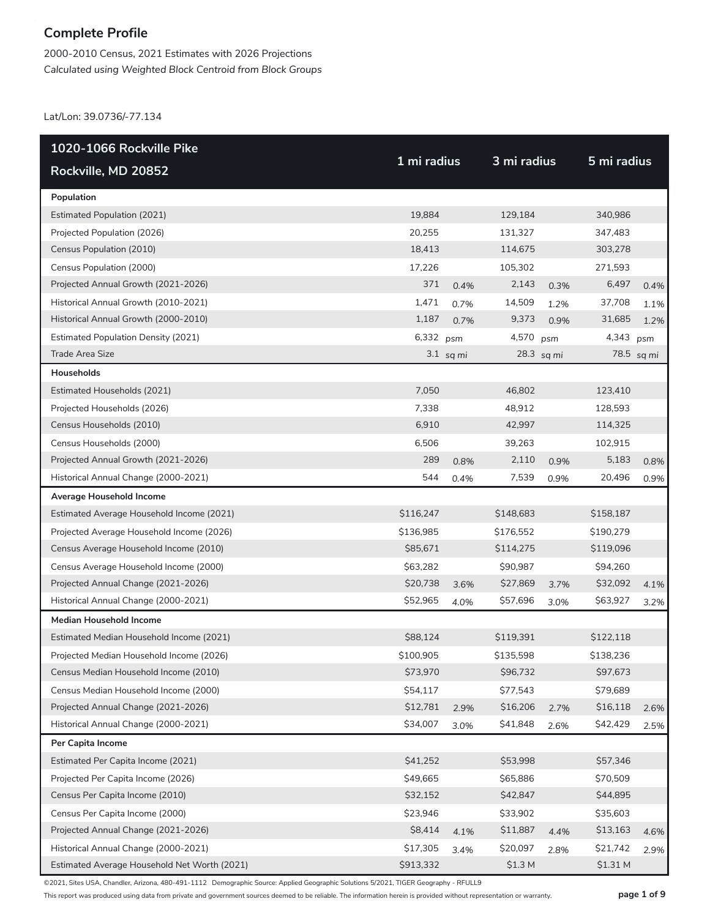2000-2010 Census, 2021 Estimates with 2026 Projections *Calculated using Weighted Block Centroid from Block Groups*

Lat/Lon: 39.0736/-77.134

| 1020-1066 Rockville Pike                     |             |             | 3 mi radius        |            |             |            |
|----------------------------------------------|-------------|-------------|--------------------|------------|-------------|------------|
| Rockville, MD 20852                          | 1 mi radius |             |                    |            | 5 mi radius |            |
| Population                                   |             |             |                    |            |             |            |
| <b>Estimated Population (2021)</b>           | 19,884      |             | 129,184            |            | 340,986     |            |
| Projected Population (2026)                  | 20,255      |             | 131,327            |            | 347,483     |            |
| Census Population (2010)                     | 18,413      |             | 114,675            |            | 303,278     |            |
| Census Population (2000)                     | 17,226      |             | 105,302            |            | 271,593     |            |
| Projected Annual Growth (2021-2026)          | 371         | 0.4%        | 2,143              | 0.3%       | 6,497       | 0.4%       |
| Historical Annual Growth (2010-2021)         | 1,471       | 0.7%        | 14,509             | 1.2%       | 37,708      | 1.1%       |
| Historical Annual Growth (2000-2010)         | 1,187       | 0.7%        | 9,373              | 0.9%       | 31,685      | 1.2%       |
| <b>Estimated Population Density (2021)</b>   | 6,332 psm   |             | 4,570              | psm        | 4,343       | psm        |
| <b>Trade Area Size</b>                       |             | $3.1$ sq mi |                    | 28.3 sq mi |             | 78.5 sq mi |
| Households                                   |             |             |                    |            |             |            |
| Estimated Households (2021)                  | 7,050       |             | 46,802             |            | 123,410     |            |
| Projected Households (2026)                  | 7,338       |             | 48,912             |            | 128,593     |            |
| Census Households (2010)                     | 6,910       |             | 42,997             |            | 114,325     |            |
| Census Households (2000)                     | 6,506       |             | 39,263             |            | 102,915     |            |
| Projected Annual Growth (2021-2026)          | 289         | 0.8%        | 2,110              | 0.9%       | 5,183       | 0.8%       |
| Historical Annual Change (2000-2021)         | 544         | 0.4%        | 7,539              | 0.9%       | 20,496      | 0.9%       |
| Average Household Income                     |             |             |                    |            |             |            |
| Estimated Average Household Income (2021)    | \$116,247   |             | \$148,683          |            | \$158,187   |            |
| Projected Average Household Income (2026)    | \$136,985   |             | \$176,552          |            | \$190,279   |            |
| Census Average Household Income (2010)       | \$85,671    |             | \$114,275          |            | \$119,096   |            |
| Census Average Household Income (2000)       | \$63,282    |             | \$90,987           |            | \$94,260    |            |
| Projected Annual Change (2021-2026)          | \$20,738    | 3.6%        | \$27,869           | 3.7%       | \$32,092    | 4.1%       |
| Historical Annual Change (2000-2021)         | \$52,965    | 4.0%        | \$57,696           | 3.0%       | \$63,927    | 3.2%       |
| <b>Median Household Income</b>               |             |             |                    |            |             |            |
| Estimated Median Household Income (2021)     | \$88,124    |             | \$119,391          |            | \$122,118   |            |
| Projected Median Household Income (2026)     | \$100,905   |             | \$135,598          |            | \$138,236   |            |
| Census Median Household Income (2010)        | \$73,970    |             | \$96,732           |            | \$97,673    |            |
| Census Median Household Income (2000)        | \$54,117    |             | \$77,543           |            | \$79,689    |            |
| Projected Annual Change (2021-2026)          | \$12,781    | 2.9%        | \$16,206           | 2.7%       | \$16,118    | 2.6%       |
| Historical Annual Change (2000-2021)         | \$34,007    | 3.0%        | \$41,848           | 2.6%       | \$42,429    | 2.5%       |
| Per Capita Income                            |             |             |                    |            |             |            |
| Estimated Per Capita Income (2021)           | \$41,252    |             | \$53,998           |            | \$57,346    |            |
| Projected Per Capita Income (2026)           | \$49,665    |             | \$65,886           |            | \$70,509    |            |
| Census Per Capita Income (2010)              | \$32,152    |             | \$42,847           |            | \$44,895    |            |
| Census Per Capita Income (2000)              | \$23,946    |             | \$33,902           |            | \$35,603    |            |
| Projected Annual Change (2021-2026)          | \$8,414     | 4.1%        | \$11,887           | 4.4%       | \$13,163    | 4.6%       |
| Historical Annual Change (2000-2021)         | \$17,305    | 3.4%        | \$20,097           | 2.8%       | \$21,742    | 2.9%       |
| Estimated Average Household Net Worth (2021) | \$913,332   |             | \$1.3 <sub>M</sub> |            | \$1.31 M    |            |

©2021, Sites USA, Chandler, Arizona, 480-491-1112 Demographic Source: Applied Geographic Solutions 5/2021, TIGER Geography - RFULL9

This report was produced using data from private and government sources deemed to be reliable. The information herein is provided without representation or warranty. **page 1 of 9**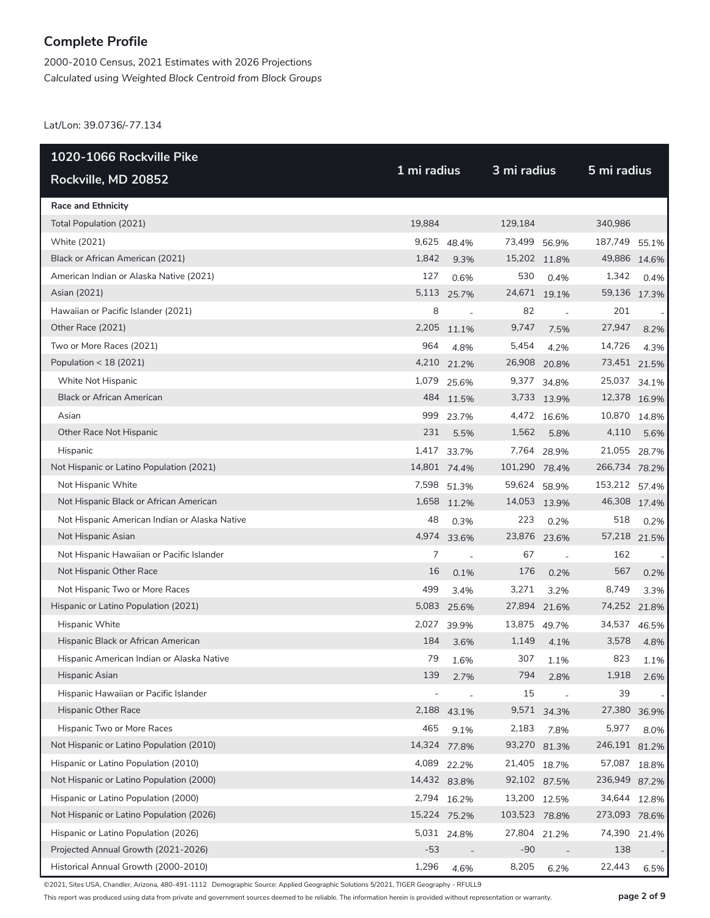2000-2010 Census, 2021 Estimates with 2026 Projections *Calculated using Weighted Block Centroid from Block Groups*

Lat/Lon: 39.0736/-77.134

| 1020-1066 Rockville Pike                      | 1 mi radius |                | 3 mi radius   |                          | 5 mi radius   |       |  |
|-----------------------------------------------|-------------|----------------|---------------|--------------------------|---------------|-------|--|
| Rockville, MD 20852                           |             |                |               |                          |               |       |  |
| <b>Race and Ethnicity</b>                     |             |                |               |                          |               |       |  |
| Total Population (2021)                       | 19,884      |                | 129,184       |                          | 340,986       |       |  |
| White (2021)                                  |             | 9,625 48.4%    | 73,499 56.9%  |                          | 187,749       | 55.1% |  |
| Black or African American (2021)              | 1,842       | 9.3%           | 15,202 11.8%  |                          | 49,886 14.6%  |       |  |
| American Indian or Alaska Native (2021)       | 127         | 0.6%           | 530           | 0.4%                     | 1,342         | 0.4%  |  |
| Asian (2021)                                  | 5,113       | 25.7%          | 24,671 19.1%  |                          | 59,136 17.3%  |       |  |
| Hawaiian or Pacific Islander (2021)           | 8           | $\overline{a}$ | 82            | $\overline{\phantom{a}}$ | 201           |       |  |
| Other Race (2021)                             | 2,205       | 11.1%          | 9,747         | 7.5%                     | 27,947        | 8.2%  |  |
| Two or More Races (2021)                      | 964         | 4.8%           | 5,454         | 4.2%                     | 14,726        | 4.3%  |  |
| Population $<$ 18 (2021)                      |             | 4,210 21.2%    | 26,908 20.8%  |                          | 73,451 21.5%  |       |  |
| White Not Hispanic                            |             | 1,079 25.6%    |               | 9,377 34.8%              | 25,037        | 34.1% |  |
| <b>Black or African American</b>              |             | 484 11.5%      |               | 3,733 13.9%              | 12,378 16.9%  |       |  |
| Asian                                         |             | 999 23.7%      |               | 4,472 16.6%              | 10,870 14.8%  |       |  |
| Other Race Not Hispanic                       | 231         | 5.5%           | 1,562         | 5.8%                     | 4,110         | 5.6%  |  |
| Hispanic                                      |             | 1,417 33.7%    |               | 7,764 28.9%              | 21,055        | 28.7% |  |
| Not Hispanic or Latino Population (2021)      |             | 14,801 74.4%   | 101,290 78.4% |                          | 266,734 78.2% |       |  |
| Not Hispanic White                            |             | 7,598 51.3%    | 59,624 58.9%  |                          | 153,212       | 57.4% |  |
| Not Hispanic Black or African American        |             | 1,658 11.2%    | 14,053 13.9%  |                          | 46,308 17.4%  |       |  |
| Not Hispanic American Indian or Alaska Native | 48          | 0.3%           | 223           | 0.2%                     | 518           | 0.2%  |  |
| Not Hispanic Asian                            |             | 4,974 33.6%    | 23,876 23.6%  |                          | 57,218 21.5%  |       |  |
| Not Hispanic Hawaiian or Pacific Islander     | 7           | $\sim$         | 67            | $\overline{\phantom{a}}$ | 162           |       |  |
| Not Hispanic Other Race                       | 16          | 0.1%           | 176           | 0.2%                     | 567           | 0.2%  |  |
| Not Hispanic Two or More Races                | 499         | 3.4%           | 3,271         | 3.2%                     | 8,749         | 3.3%  |  |
| Hispanic or Latino Population (2021)          | 5,083       | 25.6%          | 27,894        | 21.6%                    | 74,252 21.8%  |       |  |
| Hispanic White                                | 2,027       | 39.9%          | 13,875 49.7%  |                          | 34,537        | 46.5% |  |
| Hispanic Black or African American            | 184         | 3.6%           | 1,149         | 4.1%                     | 3,578         | 4.8%  |  |
| Hispanic American Indian or Alaska Native     | 79          | 1.6%           | 307           | 1.1%                     | 823           | 1.1%  |  |
| Hispanic Asian                                | 139         | 2.7%           | 794           | 2.8%                     | 1,918         | 2.6%  |  |
| Hispanic Hawaiian or Pacific Islander         |             | $\overline{a}$ | 15            |                          | 39            |       |  |
| Hispanic Other Race                           | 2,188       | 43.1%          |               | 9,571 34.3%              | 27,380        | 36.9% |  |
| Hispanic Two or More Races                    | 465         | 9.1%           | 2,183         | 7.8%                     | 5,977         | 8.0%  |  |
| Not Hispanic or Latino Population (2010)      |             | 14,324 77.8%   | 93,270 81.3%  |                          | 246,191 81.2% |       |  |
| Hispanic or Latino Population (2010)          |             | 4,089 22.2%    | 21,405 18.7%  |                          | 57,087        | 18.8% |  |
| Not Hispanic or Latino Population (2000)      |             | 14,432 83.8%   | 92,102 87.5%  |                          | 236,949 87.2% |       |  |
| Hispanic or Latino Population (2000)          |             | 2,794 16.2%    | 13,200 12.5%  |                          | 34,644        | 12.8% |  |
| Not Hispanic or Latino Population (2026)      |             | 15,224 75.2%   | 103,523 78.8% |                          | 273,093 78.6% |       |  |
| Hispanic or Latino Population (2026)          |             | 5,031 24.8%    | 27,804 21.2%  |                          | 74,390        | 21.4% |  |
| Projected Annual Growth (2021-2026)           | $-53$       |                | $-90$         |                          | 138           |       |  |
| Historical Annual Growth (2000-2010)          | 1,296       | 4.6%           | 8,205         | 6.2%                     | 22,443        | 6.5%  |  |

©2021, Sites USA, Chandler, Arizona, 480-491-1112 Demographic Source: Applied Geographic Solutions 5/2021, TIGER Geography - RFULL9

This report was produced using data from private and government sources deemed to be reliable. The information herein is provided without representation or warranty. **page 2 of 9**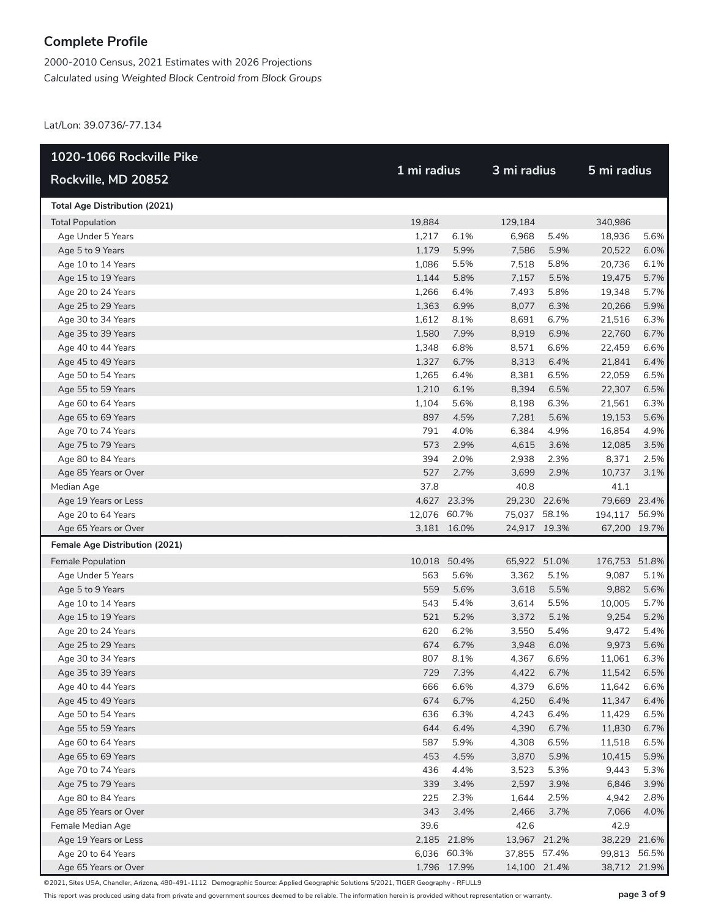2000-2010 Census, 2021 Estimates with 2026 Projections *Calculated using Weighted Block Centroid from Block Groups*

Lat/Lon: 39.0736/-77.134

| 1 mi radius<br>3 mi radius<br>5 mi radius<br>Rockville, MD 20852<br><b>Total Age Distribution (2021)</b><br><b>Total Population</b><br>19,884<br>129,184<br>340,986<br>1,217<br>5.4%<br>5.6%<br>Age Under 5 Years<br>6.1%<br>6,968<br>18,936<br>1,179<br>5.9%<br>Age 5 to 9 Years<br>7,586<br>5.9%<br>20,522<br>6.0%<br>1,086<br>5.5%<br>7,518<br>5.8%<br>Age 10 to 14 Years<br>20,736<br>6.1%<br>1,144<br>5.8%<br>5.5%<br>5.7%<br>Age 15 to 19 Years<br>7,157<br>19,475<br>1,266<br>6.4%<br>5.8%<br>5.7%<br>Age 20 to 24 Years<br>7,493<br>19,348<br>1,363<br>6.9%<br>8,077<br>Age 25 to 29 Years<br>6.3%<br>20,266<br>5.9%<br>1,612<br>8.1%<br>6.7%<br>Age 30 to 34 Years<br>8,691<br>21,516<br>6.3%<br>1,580<br>7.9%<br>8,919<br>6.9%<br>22,760<br>6.7%<br>Age 35 to 39 Years<br>1,348<br>6.8%<br>8,571<br>6.6%<br>6.6%<br>Age 40 to 44 Years<br>22,459<br>1,327<br>6.7%<br>8,313<br>6.4%<br>Age 45 to 49 Years<br>21,841<br>6.4%<br>1,265<br>6.4%<br>6.5%<br>6.5%<br>Age 50 to 54 Years<br>8,381<br>22,059<br>1,210<br>6.1%<br>22,307<br>Age 55 to 59 Years<br>8,394<br>6.5%<br>6.5%<br>1,104<br>5.6%<br>6.3%<br>Age 60 to 64 Years<br>8,198<br>21,561<br>6.3%<br>897<br>4.5%<br>7,281<br>5.6%<br>Age 65 to 69 Years<br>19,153<br>5.6%<br>791<br>4.0%<br>4.9%<br>Age 70 to 74 Years<br>6,384<br>16,854<br>4.9%<br>573<br>2.9%<br>4,615<br>Age 75 to 79 Years<br>3.6%<br>12,085<br>3.5%<br>394<br>2.0%<br>2.3%<br>Age 80 to 84 Years<br>2,938<br>8,371<br>2.5%<br>527<br>2.7%<br>3,699<br>10,737<br>Age 85 Years or Over<br>2.9%<br>3.1%<br>37.8<br>40.8<br>Median Age<br>41.1<br>4,627 23.3%<br>Age 19 Years or Less<br>29,230 22.6%<br>79,669 23.4%<br>12,076 60.7%<br>75,037 58.1%<br>Age 20 to 64 Years<br>194,117 56.9%<br>Age 65 Years or Over<br>3,181 16.0%<br>24,917 19.3%<br>67,200 19.7%<br>Female Age Distribution (2021)<br>10,018 50.4%<br>65,922<br>51.0%<br><b>Female Population</b><br>176,753 51.8%<br>563<br>5.6%<br>5.1%<br>Age Under 5 Years<br>3,362<br>9,087<br>5.1%<br>Age 5 to 9 Years<br>559<br>5.6%<br>3,618<br>5.5%<br>9,882<br>5.6%<br>543<br>5.4%<br>3,614<br>5.5%<br>5.7%<br>Age 10 to 14 Years<br>10,005<br>521<br>5.2%<br>3,372<br>5.1%<br>9,254<br>5.2%<br>Age 15 to 19 Years<br>620<br>6.2%<br>3,550<br>5.4%<br>5.4%<br>Age 20 to 24 Years<br>9,472<br>674<br>6.7%<br>3,948<br>6.0%<br>9,973<br>5.6%<br>Age 25 to 29 Years<br>807<br>8.1%<br>4,367<br>6.6%<br>11,061<br>6.3%<br>Age 30 to 34 Years<br>6.5%<br>Age 35 to 39 Years<br>729<br>7.3%<br>4,422<br>6.7%<br>11,542<br>Age 40 to 44 Years<br>666<br>6.6%<br>4,379<br>6.6%<br>11,642<br>6.6%<br>674<br>6.7%<br>4,250<br>Age 45 to 49 Years<br>6.4%<br>11,347<br>6.4%<br>636<br>6.3%<br>6.4%<br>6.5%<br>Age 50 to 54 Years<br>4,243<br>11,429<br>644<br>6.4%<br>6.7%<br>Age 55 to 59 Years<br>4,390<br>6.7%<br>11,830<br>587<br>5.9%<br>6.5%<br>6.5%<br>Age 60 to 64 Years<br>4,308<br>11,518<br>453<br>4.5%<br>3,870<br>5.9%<br>Age 65 to 69 Years<br>10,415<br>5.9%<br>436<br>4.4%<br>5.3%<br>5.3%<br>Age 70 to 74 Years<br>3,523<br>9,443<br>339<br>2,597<br>Age 75 to 79 Years<br>3.4%<br>3.9%<br>6,846<br>3.9%<br>225<br>1,644<br>2.5%<br>Age 80 to 84 Years<br>2.3%<br>4,942<br>2.8%<br>343<br>2,466<br>Age 85 Years or Over<br>3.4%<br>3.7%<br>7,066<br>4.0%<br>39.6<br>42.6<br>42.9<br>Female Median Age<br>2,185 21.8%<br>38,229 21.6%<br>Age 19 Years or Less<br>13,967 21.2%<br>6,036 60.3%<br>Age 20 to 64 Years<br>37,855 57.4%<br>99,813<br>56.5%<br>1,796 17.9%<br>38,712 21.9%<br>14,100 21.4% | 1020-1066 Rockville Pike |  |  |  |  |  |
|-----------------------------------------------------------------------------------------------------------------------------------------------------------------------------------------------------------------------------------------------------------------------------------------------------------------------------------------------------------------------------------------------------------------------------------------------------------------------------------------------------------------------------------------------------------------------------------------------------------------------------------------------------------------------------------------------------------------------------------------------------------------------------------------------------------------------------------------------------------------------------------------------------------------------------------------------------------------------------------------------------------------------------------------------------------------------------------------------------------------------------------------------------------------------------------------------------------------------------------------------------------------------------------------------------------------------------------------------------------------------------------------------------------------------------------------------------------------------------------------------------------------------------------------------------------------------------------------------------------------------------------------------------------------------------------------------------------------------------------------------------------------------------------------------------------------------------------------------------------------------------------------------------------------------------------------------------------------------------------------------------------------------------------------------------------------------------------------------------------------------------------------------------------------------------------------------------------------------------------------------------------------------------------------------------------------------------------------------------------------------------------------------------------------------------------------------------------------------------------------------------------------------------------------------------------------------------------------------------------------------------------------------------------------------------------------------------------------------------------------------------------------------------------------------------------------------------------------------------------------------------------------------------------------------------------------------------------------------------------------------------------------------------------------------------------------------------------------------------------------------------------------------------------------------------------------------------------------------------------------------------------------------------------------------------------------------------------------------------------------------------------------------------------------------------------------------------------------------------------------------------------|--------------------------|--|--|--|--|--|
|                                                                                                                                                                                                                                                                                                                                                                                                                                                                                                                                                                                                                                                                                                                                                                                                                                                                                                                                                                                                                                                                                                                                                                                                                                                                                                                                                                                                                                                                                                                                                                                                                                                                                                                                                                                                                                                                                                                                                                                                                                                                                                                                                                                                                                                                                                                                                                                                                                                                                                                                                                                                                                                                                                                                                                                                                                                                                                                                                                                                                                                                                                                                                                                                                                                                                                                                                                                                                                                                                                           |                          |  |  |  |  |  |
|                                                                                                                                                                                                                                                                                                                                                                                                                                                                                                                                                                                                                                                                                                                                                                                                                                                                                                                                                                                                                                                                                                                                                                                                                                                                                                                                                                                                                                                                                                                                                                                                                                                                                                                                                                                                                                                                                                                                                                                                                                                                                                                                                                                                                                                                                                                                                                                                                                                                                                                                                                                                                                                                                                                                                                                                                                                                                                                                                                                                                                                                                                                                                                                                                                                                                                                                                                                                                                                                                                           |                          |  |  |  |  |  |
|                                                                                                                                                                                                                                                                                                                                                                                                                                                                                                                                                                                                                                                                                                                                                                                                                                                                                                                                                                                                                                                                                                                                                                                                                                                                                                                                                                                                                                                                                                                                                                                                                                                                                                                                                                                                                                                                                                                                                                                                                                                                                                                                                                                                                                                                                                                                                                                                                                                                                                                                                                                                                                                                                                                                                                                                                                                                                                                                                                                                                                                                                                                                                                                                                                                                                                                                                                                                                                                                                                           |                          |  |  |  |  |  |
|                                                                                                                                                                                                                                                                                                                                                                                                                                                                                                                                                                                                                                                                                                                                                                                                                                                                                                                                                                                                                                                                                                                                                                                                                                                                                                                                                                                                                                                                                                                                                                                                                                                                                                                                                                                                                                                                                                                                                                                                                                                                                                                                                                                                                                                                                                                                                                                                                                                                                                                                                                                                                                                                                                                                                                                                                                                                                                                                                                                                                                                                                                                                                                                                                                                                                                                                                                                                                                                                                                           |                          |  |  |  |  |  |
|                                                                                                                                                                                                                                                                                                                                                                                                                                                                                                                                                                                                                                                                                                                                                                                                                                                                                                                                                                                                                                                                                                                                                                                                                                                                                                                                                                                                                                                                                                                                                                                                                                                                                                                                                                                                                                                                                                                                                                                                                                                                                                                                                                                                                                                                                                                                                                                                                                                                                                                                                                                                                                                                                                                                                                                                                                                                                                                                                                                                                                                                                                                                                                                                                                                                                                                                                                                                                                                                                                           |                          |  |  |  |  |  |
|                                                                                                                                                                                                                                                                                                                                                                                                                                                                                                                                                                                                                                                                                                                                                                                                                                                                                                                                                                                                                                                                                                                                                                                                                                                                                                                                                                                                                                                                                                                                                                                                                                                                                                                                                                                                                                                                                                                                                                                                                                                                                                                                                                                                                                                                                                                                                                                                                                                                                                                                                                                                                                                                                                                                                                                                                                                                                                                                                                                                                                                                                                                                                                                                                                                                                                                                                                                                                                                                                                           |                          |  |  |  |  |  |
|                                                                                                                                                                                                                                                                                                                                                                                                                                                                                                                                                                                                                                                                                                                                                                                                                                                                                                                                                                                                                                                                                                                                                                                                                                                                                                                                                                                                                                                                                                                                                                                                                                                                                                                                                                                                                                                                                                                                                                                                                                                                                                                                                                                                                                                                                                                                                                                                                                                                                                                                                                                                                                                                                                                                                                                                                                                                                                                                                                                                                                                                                                                                                                                                                                                                                                                                                                                                                                                                                                           |                          |  |  |  |  |  |
|                                                                                                                                                                                                                                                                                                                                                                                                                                                                                                                                                                                                                                                                                                                                                                                                                                                                                                                                                                                                                                                                                                                                                                                                                                                                                                                                                                                                                                                                                                                                                                                                                                                                                                                                                                                                                                                                                                                                                                                                                                                                                                                                                                                                                                                                                                                                                                                                                                                                                                                                                                                                                                                                                                                                                                                                                                                                                                                                                                                                                                                                                                                                                                                                                                                                                                                                                                                                                                                                                                           |                          |  |  |  |  |  |
|                                                                                                                                                                                                                                                                                                                                                                                                                                                                                                                                                                                                                                                                                                                                                                                                                                                                                                                                                                                                                                                                                                                                                                                                                                                                                                                                                                                                                                                                                                                                                                                                                                                                                                                                                                                                                                                                                                                                                                                                                                                                                                                                                                                                                                                                                                                                                                                                                                                                                                                                                                                                                                                                                                                                                                                                                                                                                                                                                                                                                                                                                                                                                                                                                                                                                                                                                                                                                                                                                                           |                          |  |  |  |  |  |
|                                                                                                                                                                                                                                                                                                                                                                                                                                                                                                                                                                                                                                                                                                                                                                                                                                                                                                                                                                                                                                                                                                                                                                                                                                                                                                                                                                                                                                                                                                                                                                                                                                                                                                                                                                                                                                                                                                                                                                                                                                                                                                                                                                                                                                                                                                                                                                                                                                                                                                                                                                                                                                                                                                                                                                                                                                                                                                                                                                                                                                                                                                                                                                                                                                                                                                                                                                                                                                                                                                           |                          |  |  |  |  |  |
|                                                                                                                                                                                                                                                                                                                                                                                                                                                                                                                                                                                                                                                                                                                                                                                                                                                                                                                                                                                                                                                                                                                                                                                                                                                                                                                                                                                                                                                                                                                                                                                                                                                                                                                                                                                                                                                                                                                                                                                                                                                                                                                                                                                                                                                                                                                                                                                                                                                                                                                                                                                                                                                                                                                                                                                                                                                                                                                                                                                                                                                                                                                                                                                                                                                                                                                                                                                                                                                                                                           |                          |  |  |  |  |  |
|                                                                                                                                                                                                                                                                                                                                                                                                                                                                                                                                                                                                                                                                                                                                                                                                                                                                                                                                                                                                                                                                                                                                                                                                                                                                                                                                                                                                                                                                                                                                                                                                                                                                                                                                                                                                                                                                                                                                                                                                                                                                                                                                                                                                                                                                                                                                                                                                                                                                                                                                                                                                                                                                                                                                                                                                                                                                                                                                                                                                                                                                                                                                                                                                                                                                                                                                                                                                                                                                                                           |                          |  |  |  |  |  |
|                                                                                                                                                                                                                                                                                                                                                                                                                                                                                                                                                                                                                                                                                                                                                                                                                                                                                                                                                                                                                                                                                                                                                                                                                                                                                                                                                                                                                                                                                                                                                                                                                                                                                                                                                                                                                                                                                                                                                                                                                                                                                                                                                                                                                                                                                                                                                                                                                                                                                                                                                                                                                                                                                                                                                                                                                                                                                                                                                                                                                                                                                                                                                                                                                                                                                                                                                                                                                                                                                                           |                          |  |  |  |  |  |
|                                                                                                                                                                                                                                                                                                                                                                                                                                                                                                                                                                                                                                                                                                                                                                                                                                                                                                                                                                                                                                                                                                                                                                                                                                                                                                                                                                                                                                                                                                                                                                                                                                                                                                                                                                                                                                                                                                                                                                                                                                                                                                                                                                                                                                                                                                                                                                                                                                                                                                                                                                                                                                                                                                                                                                                                                                                                                                                                                                                                                                                                                                                                                                                                                                                                                                                                                                                                                                                                                                           |                          |  |  |  |  |  |
|                                                                                                                                                                                                                                                                                                                                                                                                                                                                                                                                                                                                                                                                                                                                                                                                                                                                                                                                                                                                                                                                                                                                                                                                                                                                                                                                                                                                                                                                                                                                                                                                                                                                                                                                                                                                                                                                                                                                                                                                                                                                                                                                                                                                                                                                                                                                                                                                                                                                                                                                                                                                                                                                                                                                                                                                                                                                                                                                                                                                                                                                                                                                                                                                                                                                                                                                                                                                                                                                                                           |                          |  |  |  |  |  |
|                                                                                                                                                                                                                                                                                                                                                                                                                                                                                                                                                                                                                                                                                                                                                                                                                                                                                                                                                                                                                                                                                                                                                                                                                                                                                                                                                                                                                                                                                                                                                                                                                                                                                                                                                                                                                                                                                                                                                                                                                                                                                                                                                                                                                                                                                                                                                                                                                                                                                                                                                                                                                                                                                                                                                                                                                                                                                                                                                                                                                                                                                                                                                                                                                                                                                                                                                                                                                                                                                                           |                          |  |  |  |  |  |
|                                                                                                                                                                                                                                                                                                                                                                                                                                                                                                                                                                                                                                                                                                                                                                                                                                                                                                                                                                                                                                                                                                                                                                                                                                                                                                                                                                                                                                                                                                                                                                                                                                                                                                                                                                                                                                                                                                                                                                                                                                                                                                                                                                                                                                                                                                                                                                                                                                                                                                                                                                                                                                                                                                                                                                                                                                                                                                                                                                                                                                                                                                                                                                                                                                                                                                                                                                                                                                                                                                           |                          |  |  |  |  |  |
|                                                                                                                                                                                                                                                                                                                                                                                                                                                                                                                                                                                                                                                                                                                                                                                                                                                                                                                                                                                                                                                                                                                                                                                                                                                                                                                                                                                                                                                                                                                                                                                                                                                                                                                                                                                                                                                                                                                                                                                                                                                                                                                                                                                                                                                                                                                                                                                                                                                                                                                                                                                                                                                                                                                                                                                                                                                                                                                                                                                                                                                                                                                                                                                                                                                                                                                                                                                                                                                                                                           |                          |  |  |  |  |  |
|                                                                                                                                                                                                                                                                                                                                                                                                                                                                                                                                                                                                                                                                                                                                                                                                                                                                                                                                                                                                                                                                                                                                                                                                                                                                                                                                                                                                                                                                                                                                                                                                                                                                                                                                                                                                                                                                                                                                                                                                                                                                                                                                                                                                                                                                                                                                                                                                                                                                                                                                                                                                                                                                                                                                                                                                                                                                                                                                                                                                                                                                                                                                                                                                                                                                                                                                                                                                                                                                                                           |                          |  |  |  |  |  |
|                                                                                                                                                                                                                                                                                                                                                                                                                                                                                                                                                                                                                                                                                                                                                                                                                                                                                                                                                                                                                                                                                                                                                                                                                                                                                                                                                                                                                                                                                                                                                                                                                                                                                                                                                                                                                                                                                                                                                                                                                                                                                                                                                                                                                                                                                                                                                                                                                                                                                                                                                                                                                                                                                                                                                                                                                                                                                                                                                                                                                                                                                                                                                                                                                                                                                                                                                                                                                                                                                                           |                          |  |  |  |  |  |
|                                                                                                                                                                                                                                                                                                                                                                                                                                                                                                                                                                                                                                                                                                                                                                                                                                                                                                                                                                                                                                                                                                                                                                                                                                                                                                                                                                                                                                                                                                                                                                                                                                                                                                                                                                                                                                                                                                                                                                                                                                                                                                                                                                                                                                                                                                                                                                                                                                                                                                                                                                                                                                                                                                                                                                                                                                                                                                                                                                                                                                                                                                                                                                                                                                                                                                                                                                                                                                                                                                           |                          |  |  |  |  |  |
|                                                                                                                                                                                                                                                                                                                                                                                                                                                                                                                                                                                                                                                                                                                                                                                                                                                                                                                                                                                                                                                                                                                                                                                                                                                                                                                                                                                                                                                                                                                                                                                                                                                                                                                                                                                                                                                                                                                                                                                                                                                                                                                                                                                                                                                                                                                                                                                                                                                                                                                                                                                                                                                                                                                                                                                                                                                                                                                                                                                                                                                                                                                                                                                                                                                                                                                                                                                                                                                                                                           |                          |  |  |  |  |  |
|                                                                                                                                                                                                                                                                                                                                                                                                                                                                                                                                                                                                                                                                                                                                                                                                                                                                                                                                                                                                                                                                                                                                                                                                                                                                                                                                                                                                                                                                                                                                                                                                                                                                                                                                                                                                                                                                                                                                                                                                                                                                                                                                                                                                                                                                                                                                                                                                                                                                                                                                                                                                                                                                                                                                                                                                                                                                                                                                                                                                                                                                                                                                                                                                                                                                                                                                                                                                                                                                                                           |                          |  |  |  |  |  |
|                                                                                                                                                                                                                                                                                                                                                                                                                                                                                                                                                                                                                                                                                                                                                                                                                                                                                                                                                                                                                                                                                                                                                                                                                                                                                                                                                                                                                                                                                                                                                                                                                                                                                                                                                                                                                                                                                                                                                                                                                                                                                                                                                                                                                                                                                                                                                                                                                                                                                                                                                                                                                                                                                                                                                                                                                                                                                                                                                                                                                                                                                                                                                                                                                                                                                                                                                                                                                                                                                                           |                          |  |  |  |  |  |
|                                                                                                                                                                                                                                                                                                                                                                                                                                                                                                                                                                                                                                                                                                                                                                                                                                                                                                                                                                                                                                                                                                                                                                                                                                                                                                                                                                                                                                                                                                                                                                                                                                                                                                                                                                                                                                                                                                                                                                                                                                                                                                                                                                                                                                                                                                                                                                                                                                                                                                                                                                                                                                                                                                                                                                                                                                                                                                                                                                                                                                                                                                                                                                                                                                                                                                                                                                                                                                                                                                           |                          |  |  |  |  |  |
|                                                                                                                                                                                                                                                                                                                                                                                                                                                                                                                                                                                                                                                                                                                                                                                                                                                                                                                                                                                                                                                                                                                                                                                                                                                                                                                                                                                                                                                                                                                                                                                                                                                                                                                                                                                                                                                                                                                                                                                                                                                                                                                                                                                                                                                                                                                                                                                                                                                                                                                                                                                                                                                                                                                                                                                                                                                                                                                                                                                                                                                                                                                                                                                                                                                                                                                                                                                                                                                                                                           |                          |  |  |  |  |  |
|                                                                                                                                                                                                                                                                                                                                                                                                                                                                                                                                                                                                                                                                                                                                                                                                                                                                                                                                                                                                                                                                                                                                                                                                                                                                                                                                                                                                                                                                                                                                                                                                                                                                                                                                                                                                                                                                                                                                                                                                                                                                                                                                                                                                                                                                                                                                                                                                                                                                                                                                                                                                                                                                                                                                                                                                                                                                                                                                                                                                                                                                                                                                                                                                                                                                                                                                                                                                                                                                                                           |                          |  |  |  |  |  |
|                                                                                                                                                                                                                                                                                                                                                                                                                                                                                                                                                                                                                                                                                                                                                                                                                                                                                                                                                                                                                                                                                                                                                                                                                                                                                                                                                                                                                                                                                                                                                                                                                                                                                                                                                                                                                                                                                                                                                                                                                                                                                                                                                                                                                                                                                                                                                                                                                                                                                                                                                                                                                                                                                                                                                                                                                                                                                                                                                                                                                                                                                                                                                                                                                                                                                                                                                                                                                                                                                                           |                          |  |  |  |  |  |
|                                                                                                                                                                                                                                                                                                                                                                                                                                                                                                                                                                                                                                                                                                                                                                                                                                                                                                                                                                                                                                                                                                                                                                                                                                                                                                                                                                                                                                                                                                                                                                                                                                                                                                                                                                                                                                                                                                                                                                                                                                                                                                                                                                                                                                                                                                                                                                                                                                                                                                                                                                                                                                                                                                                                                                                                                                                                                                                                                                                                                                                                                                                                                                                                                                                                                                                                                                                                                                                                                                           |                          |  |  |  |  |  |
|                                                                                                                                                                                                                                                                                                                                                                                                                                                                                                                                                                                                                                                                                                                                                                                                                                                                                                                                                                                                                                                                                                                                                                                                                                                                                                                                                                                                                                                                                                                                                                                                                                                                                                                                                                                                                                                                                                                                                                                                                                                                                                                                                                                                                                                                                                                                                                                                                                                                                                                                                                                                                                                                                                                                                                                                                                                                                                                                                                                                                                                                                                                                                                                                                                                                                                                                                                                                                                                                                                           |                          |  |  |  |  |  |
|                                                                                                                                                                                                                                                                                                                                                                                                                                                                                                                                                                                                                                                                                                                                                                                                                                                                                                                                                                                                                                                                                                                                                                                                                                                                                                                                                                                                                                                                                                                                                                                                                                                                                                                                                                                                                                                                                                                                                                                                                                                                                                                                                                                                                                                                                                                                                                                                                                                                                                                                                                                                                                                                                                                                                                                                                                                                                                                                                                                                                                                                                                                                                                                                                                                                                                                                                                                                                                                                                                           |                          |  |  |  |  |  |
|                                                                                                                                                                                                                                                                                                                                                                                                                                                                                                                                                                                                                                                                                                                                                                                                                                                                                                                                                                                                                                                                                                                                                                                                                                                                                                                                                                                                                                                                                                                                                                                                                                                                                                                                                                                                                                                                                                                                                                                                                                                                                                                                                                                                                                                                                                                                                                                                                                                                                                                                                                                                                                                                                                                                                                                                                                                                                                                                                                                                                                                                                                                                                                                                                                                                                                                                                                                                                                                                                                           |                          |  |  |  |  |  |
|                                                                                                                                                                                                                                                                                                                                                                                                                                                                                                                                                                                                                                                                                                                                                                                                                                                                                                                                                                                                                                                                                                                                                                                                                                                                                                                                                                                                                                                                                                                                                                                                                                                                                                                                                                                                                                                                                                                                                                                                                                                                                                                                                                                                                                                                                                                                                                                                                                                                                                                                                                                                                                                                                                                                                                                                                                                                                                                                                                                                                                                                                                                                                                                                                                                                                                                                                                                                                                                                                                           |                          |  |  |  |  |  |
|                                                                                                                                                                                                                                                                                                                                                                                                                                                                                                                                                                                                                                                                                                                                                                                                                                                                                                                                                                                                                                                                                                                                                                                                                                                                                                                                                                                                                                                                                                                                                                                                                                                                                                                                                                                                                                                                                                                                                                                                                                                                                                                                                                                                                                                                                                                                                                                                                                                                                                                                                                                                                                                                                                                                                                                                                                                                                                                                                                                                                                                                                                                                                                                                                                                                                                                                                                                                                                                                                                           |                          |  |  |  |  |  |
|                                                                                                                                                                                                                                                                                                                                                                                                                                                                                                                                                                                                                                                                                                                                                                                                                                                                                                                                                                                                                                                                                                                                                                                                                                                                                                                                                                                                                                                                                                                                                                                                                                                                                                                                                                                                                                                                                                                                                                                                                                                                                                                                                                                                                                                                                                                                                                                                                                                                                                                                                                                                                                                                                                                                                                                                                                                                                                                                                                                                                                                                                                                                                                                                                                                                                                                                                                                                                                                                                                           |                          |  |  |  |  |  |
|                                                                                                                                                                                                                                                                                                                                                                                                                                                                                                                                                                                                                                                                                                                                                                                                                                                                                                                                                                                                                                                                                                                                                                                                                                                                                                                                                                                                                                                                                                                                                                                                                                                                                                                                                                                                                                                                                                                                                                                                                                                                                                                                                                                                                                                                                                                                                                                                                                                                                                                                                                                                                                                                                                                                                                                                                                                                                                                                                                                                                                                                                                                                                                                                                                                                                                                                                                                                                                                                                                           |                          |  |  |  |  |  |
|                                                                                                                                                                                                                                                                                                                                                                                                                                                                                                                                                                                                                                                                                                                                                                                                                                                                                                                                                                                                                                                                                                                                                                                                                                                                                                                                                                                                                                                                                                                                                                                                                                                                                                                                                                                                                                                                                                                                                                                                                                                                                                                                                                                                                                                                                                                                                                                                                                                                                                                                                                                                                                                                                                                                                                                                                                                                                                                                                                                                                                                                                                                                                                                                                                                                                                                                                                                                                                                                                                           |                          |  |  |  |  |  |
|                                                                                                                                                                                                                                                                                                                                                                                                                                                                                                                                                                                                                                                                                                                                                                                                                                                                                                                                                                                                                                                                                                                                                                                                                                                                                                                                                                                                                                                                                                                                                                                                                                                                                                                                                                                                                                                                                                                                                                                                                                                                                                                                                                                                                                                                                                                                                                                                                                                                                                                                                                                                                                                                                                                                                                                                                                                                                                                                                                                                                                                                                                                                                                                                                                                                                                                                                                                                                                                                                                           |                          |  |  |  |  |  |
|                                                                                                                                                                                                                                                                                                                                                                                                                                                                                                                                                                                                                                                                                                                                                                                                                                                                                                                                                                                                                                                                                                                                                                                                                                                                                                                                                                                                                                                                                                                                                                                                                                                                                                                                                                                                                                                                                                                                                                                                                                                                                                                                                                                                                                                                                                                                                                                                                                                                                                                                                                                                                                                                                                                                                                                                                                                                                                                                                                                                                                                                                                                                                                                                                                                                                                                                                                                                                                                                                                           |                          |  |  |  |  |  |
|                                                                                                                                                                                                                                                                                                                                                                                                                                                                                                                                                                                                                                                                                                                                                                                                                                                                                                                                                                                                                                                                                                                                                                                                                                                                                                                                                                                                                                                                                                                                                                                                                                                                                                                                                                                                                                                                                                                                                                                                                                                                                                                                                                                                                                                                                                                                                                                                                                                                                                                                                                                                                                                                                                                                                                                                                                                                                                                                                                                                                                                                                                                                                                                                                                                                                                                                                                                                                                                                                                           |                          |  |  |  |  |  |
|                                                                                                                                                                                                                                                                                                                                                                                                                                                                                                                                                                                                                                                                                                                                                                                                                                                                                                                                                                                                                                                                                                                                                                                                                                                                                                                                                                                                                                                                                                                                                                                                                                                                                                                                                                                                                                                                                                                                                                                                                                                                                                                                                                                                                                                                                                                                                                                                                                                                                                                                                                                                                                                                                                                                                                                                                                                                                                                                                                                                                                                                                                                                                                                                                                                                                                                                                                                                                                                                                                           |                          |  |  |  |  |  |
|                                                                                                                                                                                                                                                                                                                                                                                                                                                                                                                                                                                                                                                                                                                                                                                                                                                                                                                                                                                                                                                                                                                                                                                                                                                                                                                                                                                                                                                                                                                                                                                                                                                                                                                                                                                                                                                                                                                                                                                                                                                                                                                                                                                                                                                                                                                                                                                                                                                                                                                                                                                                                                                                                                                                                                                                                                                                                                                                                                                                                                                                                                                                                                                                                                                                                                                                                                                                                                                                                                           |                          |  |  |  |  |  |
|                                                                                                                                                                                                                                                                                                                                                                                                                                                                                                                                                                                                                                                                                                                                                                                                                                                                                                                                                                                                                                                                                                                                                                                                                                                                                                                                                                                                                                                                                                                                                                                                                                                                                                                                                                                                                                                                                                                                                                                                                                                                                                                                                                                                                                                                                                                                                                                                                                                                                                                                                                                                                                                                                                                                                                                                                                                                                                                                                                                                                                                                                                                                                                                                                                                                                                                                                                                                                                                                                                           |                          |  |  |  |  |  |
|                                                                                                                                                                                                                                                                                                                                                                                                                                                                                                                                                                                                                                                                                                                                                                                                                                                                                                                                                                                                                                                                                                                                                                                                                                                                                                                                                                                                                                                                                                                                                                                                                                                                                                                                                                                                                                                                                                                                                                                                                                                                                                                                                                                                                                                                                                                                                                                                                                                                                                                                                                                                                                                                                                                                                                                                                                                                                                                                                                                                                                                                                                                                                                                                                                                                                                                                                                                                                                                                                                           |                          |  |  |  |  |  |
|                                                                                                                                                                                                                                                                                                                                                                                                                                                                                                                                                                                                                                                                                                                                                                                                                                                                                                                                                                                                                                                                                                                                                                                                                                                                                                                                                                                                                                                                                                                                                                                                                                                                                                                                                                                                                                                                                                                                                                                                                                                                                                                                                                                                                                                                                                                                                                                                                                                                                                                                                                                                                                                                                                                                                                                                                                                                                                                                                                                                                                                                                                                                                                                                                                                                                                                                                                                                                                                                                                           |                          |  |  |  |  |  |
|                                                                                                                                                                                                                                                                                                                                                                                                                                                                                                                                                                                                                                                                                                                                                                                                                                                                                                                                                                                                                                                                                                                                                                                                                                                                                                                                                                                                                                                                                                                                                                                                                                                                                                                                                                                                                                                                                                                                                                                                                                                                                                                                                                                                                                                                                                                                                                                                                                                                                                                                                                                                                                                                                                                                                                                                                                                                                                                                                                                                                                                                                                                                                                                                                                                                                                                                                                                                                                                                                                           |                          |  |  |  |  |  |
|                                                                                                                                                                                                                                                                                                                                                                                                                                                                                                                                                                                                                                                                                                                                                                                                                                                                                                                                                                                                                                                                                                                                                                                                                                                                                                                                                                                                                                                                                                                                                                                                                                                                                                                                                                                                                                                                                                                                                                                                                                                                                                                                                                                                                                                                                                                                                                                                                                                                                                                                                                                                                                                                                                                                                                                                                                                                                                                                                                                                                                                                                                                                                                                                                                                                                                                                                                                                                                                                                                           |                          |  |  |  |  |  |
|                                                                                                                                                                                                                                                                                                                                                                                                                                                                                                                                                                                                                                                                                                                                                                                                                                                                                                                                                                                                                                                                                                                                                                                                                                                                                                                                                                                                                                                                                                                                                                                                                                                                                                                                                                                                                                                                                                                                                                                                                                                                                                                                                                                                                                                                                                                                                                                                                                                                                                                                                                                                                                                                                                                                                                                                                                                                                                                                                                                                                                                                                                                                                                                                                                                                                                                                                                                                                                                                                                           | Age 65 Years or Over     |  |  |  |  |  |

©2021, Sites USA, Chandler, Arizona, 480-491-1112 Demographic Source: Applied Geographic Solutions 5/2021, TIGER Geography - RFULL9

This report was produced using data from private and government sources deemed to be reliable. The information herein is provided without representation or warranty. **page 3 of 9**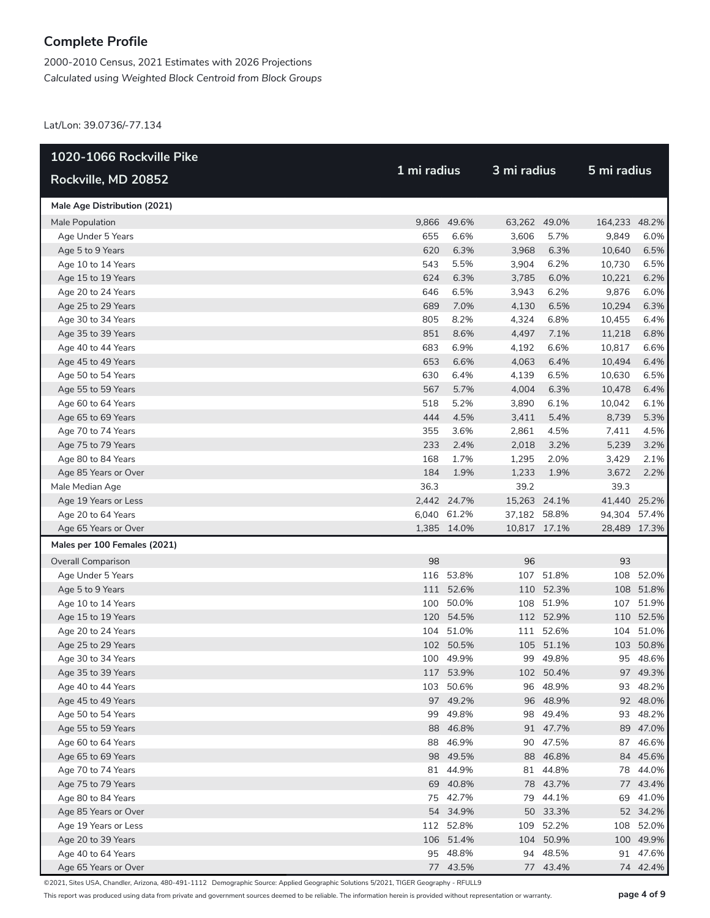2000-2010 Census, 2021 Estimates with 2026 Projections *Calculated using Weighted Block Centroid from Block Groups*

Lat/Lon: 39.0736/-77.134

| 1020-1066 Rockville Pike     |             |             |              |              |               |              |  |
|------------------------------|-------------|-------------|--------------|--------------|---------------|--------------|--|
| Rockville, MD 20852          | 1 mi radius |             | 3 mi radius  |              | 5 mi radius   |              |  |
| Male Age Distribution (2021) |             |             |              |              |               |              |  |
| Male Population              |             | 9,866 49.6% |              | 63,262 49.0% | 164,233 48.2% |              |  |
| Age Under 5 Years            | 655         | 6.6%        | 3,606        | 5.7%         | 9,849         | 6.0%         |  |
| Age 5 to 9 Years             | 620         | 6.3%        | 3,968        | 6.3%         | 10,640        | 6.5%         |  |
| Age 10 to 14 Years           | 543         | 5.5%        | 3,904        | 6.2%         | 10,730        | 6.5%         |  |
| Age 15 to 19 Years           | 624         | 6.3%        | 3,785        | 6.0%         | 10,221        | 6.2%         |  |
| Age 20 to 24 Years           | 646         | 6.5%        | 3,943        | 6.2%         | 9,876         | 6.0%         |  |
| Age 25 to 29 Years           | 689         | 7.0%        | 4,130        | 6.5%         | 10,294        | 6.3%         |  |
| Age 30 to 34 Years           | 805         | 8.2%        | 4,324        | 6.8%         | 10,455        | 6.4%         |  |
| Age 35 to 39 Years           | 851         | 8.6%        | 4,497        | 7.1%         | 11,218        | 6.8%         |  |
| Age 40 to 44 Years           | 683         | 6.9%        | 4,192        | 6.6%         | 10,817        | 6.6%         |  |
| Age 45 to 49 Years           | 653         | 6.6%        | 4,063        | 6.4%         | 10,494        | 6.4%         |  |
| Age 50 to 54 Years           | 630         | 6.4%        | 4,139        | 6.5%         | 10,630        | 6.5%         |  |
| Age 55 to 59 Years           | 567         | 5.7%        | 4,004        | 6.3%         | 10,478        | 6.4%         |  |
| Age 60 to 64 Years           | 518         | 5.2%        | 3,890        | 6.1%         | 10,042        | 6.1%         |  |
| Age 65 to 69 Years           | 444         | 4.5%        | 3,411        | 5.4%         | 8,739         | 5.3%         |  |
| Age 70 to 74 Years           | 355         | 3.6%        | 2,861        | 4.5%         | 7,411         | 4.5%         |  |
| Age 75 to 79 Years           | 233         | 2.4%        | 2,018        | 3.2%         | 5,239         | 3.2%         |  |
| Age 80 to 84 Years           | 168         | 1.7%        | 1,295        | 2.0%         | 3,429         | 2.1%         |  |
| Age 85 Years or Over         | 184         | 1.9%        | 1,233        | 1.9%         | 3,672         | 2.2%         |  |
| Male Median Age              | 36.3        |             | 39.2         |              | 39.3          |              |  |
| Age 19 Years or Less         |             | 2,442 24.7% | 15,263 24.1% |              | 41,440 25.2%  |              |  |
| Age 20 to 64 Years           |             | 6,040 61.2% | 37,182 58.8% |              | 94,304 57.4%  |              |  |
| Age 65 Years or Over         |             | 1,385 14.0% | 10,817 17.1% |              |               | 28,489 17.3% |  |
| Males per 100 Females (2021) |             |             |              |              |               |              |  |
| <b>Overall Comparison</b>    | 98          |             | 96           |              | 93            |              |  |
| Age Under 5 Years            |             | 116 53.8%   | 107          | 51.8%        |               | 108 52.0%    |  |
| Age 5 to 9 Years             |             | 111 52.6%   |              | 110 52.3%    |               | 108 51.8%    |  |
| Age 10 to 14 Years           |             | 100 50.0%   | 108          | 51.9%        |               | 107 51.9%    |  |
| Age 15 to 19 Years           |             | 120 54.5%   |              | 112 52.9%    |               | 110 52.5%    |  |
| Age 20 to 24 Years           |             | 104 51.0%   | 111          | 52.6%        |               | 104 51.0%    |  |
| Age 25 to 29 Years           |             | 102 50.5%   |              | 105 51.1%    |               | 103 50.8%    |  |
| Age 30 to 34 Years           |             | 100 49.9%   | 99           | 49.8%        |               | 95 48.6%     |  |
| Age 35 to 39 Years           |             | 117 53.9%   |              | 102 50.4%    |               | 97 49.3%     |  |
| Age 40 to 44 Years           |             | 103 50.6%   |              | 96 48.9%     |               | 93 48.2%     |  |
| Age 45 to 49 Years           |             | 97 49.2%    |              | 96 48.9%     |               | 92 48.0%     |  |
| Age 50 to 54 Years           |             | 99 49.8%    |              | 98 49.4%     |               | 93 48.2%     |  |
| Age 55 to 59 Years           |             | 88 46.8%    |              | 91 47.7%     |               | 89 47.0%     |  |
| Age 60 to 64 Years           |             | 88 46.9%    |              | 90 47.5%     |               | 87 46.6%     |  |
| Age 65 to 69 Years           |             | 98 49.5%    |              | 88 46.8%     |               | 84 45.6%     |  |
| Age 70 to 74 Years           |             | 81 44.9%    |              | 81 44.8%     |               | 78 44.0%     |  |
| Age 75 to 79 Years           |             | 69 40.8%    |              | 78 43.7%     |               | 77 43.4%     |  |
| Age 80 to 84 Years           |             | 75 42.7%    |              | 79 44.1%     |               | 69 41.0%     |  |
| Age 85 Years or Over         |             | 54 34.9%    |              | 50 33.3%     |               | 52 34.2%     |  |
| Age 19 Years or Less         |             | 112 52.8%   | 109          | 52.2%        |               | 108 52.0%    |  |
| Age 20 to 39 Years           |             | 106 51.4%   |              | 104 50.9%    |               | 100 49.9%    |  |
| Age 40 to 64 Years           |             | 95 48.8%    |              | 94 48.5%     |               | 91 47.6%     |  |
| Age 65 Years or Over         |             | 77 43.5%    |              | 77 43.4%     |               | 74 42.4%     |  |

©2021, Sites USA, Chandler, Arizona, 480-491-1112 Demographic Source: Applied Geographic Solutions 5/2021, TIGER Geography - RFULL9

This report was produced using data from private and government sources deemed to be reliable. The information herein is provided without representation or warranty. **page 4 of 9**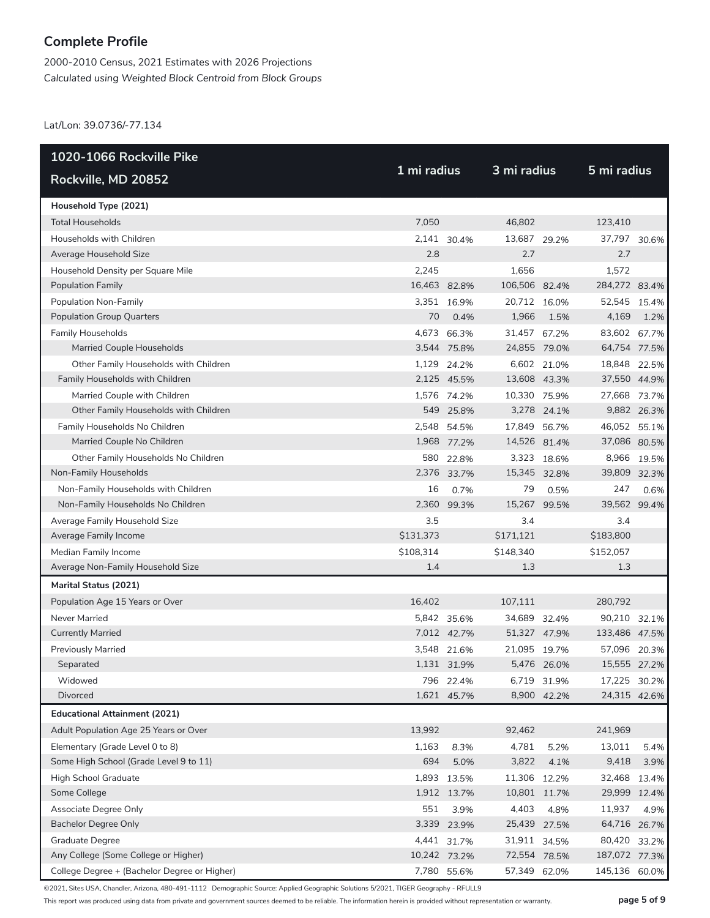2000-2010 Census, 2021 Estimates with 2026 Projections *Calculated using Weighted Block Centroid from Block Groups*

Lat/Lon: 39.0736/-77.134

| 1020-1066 Rockville Pike                     |              |              |               |             |               |             |
|----------------------------------------------|--------------|--------------|---------------|-------------|---------------|-------------|
| Rockville, MD 20852                          | 1 mi radius  |              | 3 mi radius   |             | 5 mi radius   |             |
| Household Type (2021)                        |              |              |               |             |               |             |
| <b>Total Households</b>                      | 7,050        |              | 46,802        |             | 123,410       |             |
| Households with Children                     |              | 2,141 30.4%  | 13,687 29.2%  |             | 37,797 30.6%  |             |
| Average Household Size                       | 2.8          |              | 2.7           |             | 2.7           |             |
| Household Density per Square Mile            | 2,245        |              | 1,656         |             | 1,572         |             |
| Population Family                            | 16,463 82.8% |              | 106,506 82.4% |             | 284,272 83.4% |             |
| Population Non-Family                        |              | 3,351 16.9%  | 20,712 16.0%  |             | 52,545 15.4%  |             |
| <b>Population Group Quarters</b>             | 70           | 0.4%         | 1,966         | 1.5%        | 4,169         | 1.2%        |
| Family Households                            |              | 4,673 66.3%  | 31,457 67.2%  |             | 83,602 67.7%  |             |
| Married Couple Households                    |              | 3,544 75.8%  | 24,855 79.0%  |             | 64,754 77.5%  |             |
| Other Family Households with Children        |              | 1,129 24.2%  |               | 6,602 21.0% | 18,848 22.5%  |             |
| Family Households with Children              |              | 2,125 45.5%  | 13,608 43.3%  |             | 37,550 44.9%  |             |
| Married Couple with Children                 |              | 1,576 74.2%  | 10,330 75.9%  |             | 27,668 73.7%  |             |
| Other Family Households with Children        |              | 549 25.8%    |               | 3,278 24.1% |               | 9,882 26.3% |
| Family Households No Children                |              | 2,548 54.5%  | 17,849 56.7%  |             | 46,052 55.1%  |             |
| Married Couple No Children                   |              | 1,968 77.2%  | 14,526 81.4%  |             | 37,086 80.5%  |             |
| Other Family Households No Children          |              | 580 22.8%    |               | 3,323 18.6% |               | 8,966 19.5% |
| Non-Family Households                        |              | 2,376 33.7%  | 15,345 32.8%  |             | 39,809 32.3%  |             |
| Non-Family Households with Children          | 16           | 0.7%         | 79            | 0.5%        | 247           | 0.6%        |
| Non-Family Households No Children            |              | 2,360 99.3%  | 15,267        | 99.5%       | 39,562 99.4%  |             |
| Average Family Household Size                | 3.5          |              | 3.4           |             | 3.4           |             |
| Average Family Income                        | \$131,373    |              | \$171,121     |             | \$183,800     |             |
| Median Family Income                         | \$108,314    |              | \$148,340     |             | \$152,057     |             |
| Average Non-Family Household Size            | 1.4          |              | 1.3           |             | 1.3           |             |
| Marital Status (2021)                        |              |              |               |             |               |             |
| Population Age 15 Years or Over              | 16,402       |              | 107,111       |             | 280,792       |             |
| Never Married                                |              | 5,842 35.6%  | 34,689 32.4%  |             | 90,210 32.1%  |             |
| <b>Currently Married</b>                     |              | 7,012 42.7%  | 51,327 47.9%  |             | 133,486 47.5% |             |
| <b>Previously Married</b>                    |              | 3,548 21.6%  | 21,095 19.7%  |             | 57,096 20.3%  |             |
| Separated                                    |              | 1,131 31.9%  |               | 5,476 26.0% | 15,555 27.2%  |             |
| Widowed                                      |              | 796 22.4%    |               | 6,719 31.9% | 17,225 30.2%  |             |
| Divorced                                     |              | 1,621 45.7%  |               | 8,900 42.2% | 24,315 42.6%  |             |
| <b>Educational Attainment (2021)</b>         |              |              |               |             |               |             |
| Adult Population Age 25 Years or Over        | 13,992       |              | 92,462        |             | 241,969       |             |
| Elementary (Grade Level 0 to 8)              | 1,163        | 8.3%         | 4,781         | 5.2%        | 13,011        | 5.4%        |
| Some High School (Grade Level 9 to 11)       | 694          | 5.0%         | 3,822         | 4.1%        | 9,418         | 3.9%        |
| High School Graduate                         |              | 1,893 13.5%  | 11,306 12.2%  |             | 32,468        | 13.4%       |
| Some College                                 |              | 1,912 13.7%  | 10,801 11.7%  |             | 29,999 12.4%  |             |
| Associate Degree Only                        | 551          | 3.9%         | 4,403         | 4.8%        | 11,937        | 4.9%        |
| <b>Bachelor Degree Only</b>                  |              | 3,339 23.9%  | 25,439 27.5%  |             | 64,716 26.7%  |             |
| <b>Graduate Degree</b>                       |              | 4,441 31.7%  | 31,911 34.5%  |             | 80,420 33.2%  |             |
| Any College (Some College or Higher)         |              | 10,242 73.2% | 72,554 78.5%  |             | 187,072 77.3% |             |
| College Degree + (Bachelor Degree or Higher) |              | 7,780 55.6%  | 57,349 62.0%  |             | 145,136 60.0% |             |

©2021, Sites USA, Chandler, Arizona, 480-491-1112 Demographic Source: Applied Geographic Solutions 5/2021, TIGER Geography - RFULL9

This report was produced using data from private and government sources deemed to be reliable. The information herein is provided without representation or warranty. **page 5 of 9**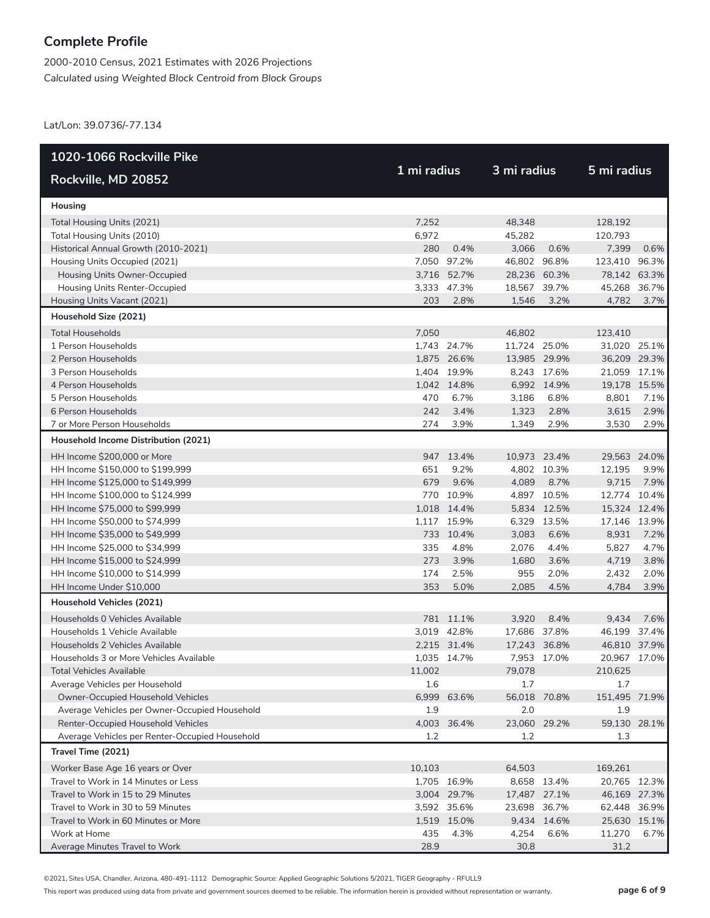2000-2010 Census, 2021 Estimates with 2026 Projections *Calculated using Weighted Block Centroid from Block Groups*

Lat/Lon: 39.0736/-77.134

| 1020-1066 Rockville Pike                       |             |             |              |             |               |       |
|------------------------------------------------|-------------|-------------|--------------|-------------|---------------|-------|
| Rockville, MD 20852                            | 1 mi radius |             | 3 mi radius  |             | 5 mi radius   |       |
| Housing                                        |             |             |              |             |               |       |
| Total Housing Units (2021)                     | 7,252       |             | 48,348       |             | 128,192       |       |
| Total Housing Units (2010)                     | 6,972       |             | 45,282       |             | 120,793       |       |
| Historical Annual Growth (2010-2021)           | 280         | 0.4%        | 3,066        | 0.6%        | 7,399         | 0.6%  |
| Housing Units Occupied (2021)                  |             | 7,050 97.2% | 46,802 96.8% |             | 123,410 96.3% |       |
| Housing Units Owner-Occupied                   |             | 3,716 52.7% | 28,236 60.3% |             | 78,142 63.3%  |       |
| Housing Units Renter-Occupied                  |             | 3,333 47.3% | 18,567       | 39.7%       | 45,268        | 36.7% |
| Housing Units Vacant (2021)                    | 203         | 2.8%        | 1,546        | 3.2%        | 4,782         | 3.7%  |
| Household Size (2021)                          |             |             |              |             |               |       |
| <b>Total Households</b>                        | 7,050       |             | 46,802       |             | 123,410       |       |
| 1 Person Households                            |             | 1,743 24.7% | 11,724 25.0% |             | 31,020 25.1%  |       |
| 2 Person Households                            |             | 1,875 26.6% | 13,985 29.9% |             | 36,209 29.3%  |       |
| 3 Person Households                            |             | 1,404 19.9% |              | 8,243 17.6% | 21,059 17.1%  |       |
| 4 Person Households                            |             | 1,042 14.8% |              | 6,992 14.9% | 19,178 15.5%  |       |
| 5 Person Households                            | 470         | 6.7%        | 3,186        | 6.8%        | 8,801         | 7.1%  |
| 6 Person Households                            | 242         | 3.4%        | 1,323        | 2.8%        | 3,615         | 2.9%  |
| 7 or More Person Households                    | 274         | 3.9%        | 1,349        | 2.9%        | 3,530         | 2.9%  |
| Household Income Distribution (2021)           |             |             |              |             |               |       |
| HH Income \$200,000 or More                    |             | 947 13.4%   | 10,973 23.4% |             | 29,563 24.0%  |       |
| HH Income \$150,000 to \$199,999               | 651         | 9.2%        |              | 4,802 10.3% | 12,195        | 9.9%  |
| HH Income \$125,000 to \$149,999               | 679         | 9.6%        | 4,089        | 8.7%        | 9,715         | 7.9%  |
| HH Income \$100,000 to \$124,999               |             | 770 10.9%   |              | 4,897 10.5% | 12,774 10.4%  |       |
| HH Income \$75,000 to \$99,999                 |             | 1,018 14.4% |              | 5,834 12.5% | 15,324 12.4%  |       |
| HH Income \$50,000 to \$74,999                 |             | 1,117 15.9% |              | 6,329 13.5% | 17,146 13.9%  |       |
| HH Income \$35,000 to \$49,999                 |             | 733 10.4%   | 3,083        | 6.6%        | 8,931         | 7.2%  |
| HH Income \$25,000 to \$34,999                 | 335         | 4.8%        | 2,076        | 4.4%        | 5,827         | 4.7%  |
| HH Income \$15,000 to \$24,999                 | 273         | 3.9%        | 1,680        | 3.6%        | 4,719         | 3.8%  |
| HH Income \$10,000 to \$14,999                 | 174         | 2.5%        | 955          | 2.0%        | 2,432         | 2.0%  |
| HH Income Under \$10,000                       | 353         | 5.0%        | 2,085        | 4.5%        | 4,784         | 3.9%  |
| Household Vehicles (2021)                      |             |             |              |             |               |       |
| Households 0 Vehicles Available                |             | 781 11.1%   | 3,920        | 8.4%        | 9,434         | 7.6%  |
| Households 1 Vehicle Available                 |             | 3,019 42.8% | 17,686 37.8% |             | 46,199 37.4%  |       |
| Households 2 Vehicles Available                |             | 2,215 31.4% | 17,243 36.8% |             | 46,810 37.9%  |       |
| Households 3 or More Vehicles Available        |             | 1,035 14.7% |              | 7,953 17.0% | 20,967 17.0%  |       |
| Total Vehicles Available                       | 11,002      |             | 79,078       |             | 210,625       |       |
| Average Vehicles per Household                 | 1.6         |             | 1.7          |             | 1.7           |       |
| Owner-Occupied Household Vehicles              |             | 6,999 63.6% | 56,018 70.8% |             | 151,495 71.9% |       |
| Average Vehicles per Owner-Occupied Household  | 1.9         |             | 2.0          |             | 1.9           |       |
| Renter-Occupied Household Vehicles             |             | 4,003 36.4% | 23,060 29.2% |             | 59,130 28.1%  |       |
| Average Vehicles per Renter-Occupied Household | 1.2         |             | 1.2          |             | 1.3           |       |
| Travel Time (2021)                             |             |             |              |             |               |       |
| Worker Base Age 16 years or Over               | 10,103      |             | 64,503       |             | 169,261       |       |
| Travel to Work in 14 Minutes or Less           |             | 1,705 16.9% |              | 8,658 13.4% | 20,765 12.3%  |       |
| Travel to Work in 15 to 29 Minutes             |             | 3,004 29.7% | 17,487 27.1% |             | 46,169 27.3%  |       |
| Travel to Work in 30 to 59 Minutes             |             | 3,592 35.6% | 23,698 36.7% |             | 62,448 36.9%  |       |
| Travel to Work in 60 Minutes or More           |             | 1,519 15.0% |              | 9,434 14.6% | 25,630 15.1%  |       |
| Work at Home                                   | 435         | 4.3%        | 4,254        | 6.6%        | 11,270        | 6.7%  |
| Average Minutes Travel to Work                 | 28.9        |             | 30.8         |             | 31.2          |       |

©2021, Sites USA, Chandler, Arizona, 480-491-1112 Demographic Source: Applied Geographic Solutions 5/2021, TIGER Geography - RFULL9

This report was produced using data from private and government sources deemed to be reliable. The information herein is provided without representation or warranty. **page 6 of 9**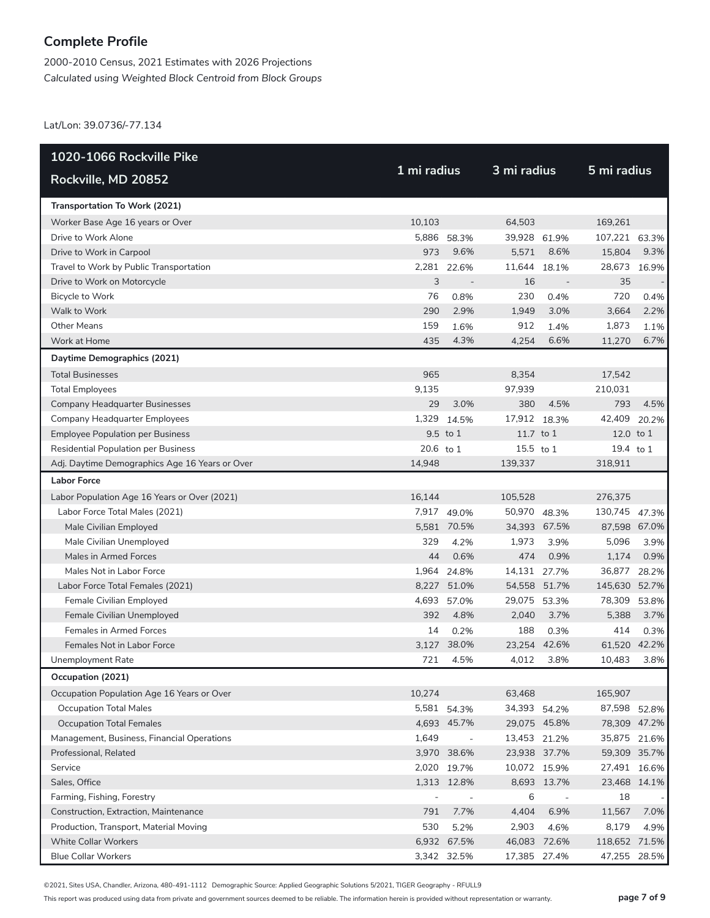2000-2010 Census, 2021 Estimates with 2026 Projections *Calculated using Weighted Block Centroid from Block Groups*

Lat/Lon: 39.0736/-77.134

| 1020-1066 Rockville Pike                       |             |                          |              |                          |               |       |  |
|------------------------------------------------|-------------|--------------------------|--------------|--------------------------|---------------|-------|--|
| Rockville, MD 20852                            | 1 mi radius |                          | 3 mi radius  |                          | 5 mi radius   |       |  |
| Transportation To Work (2021)                  |             |                          |              |                          |               |       |  |
| Worker Base Age 16 years or Over               | 10.103      |                          | 64,503       |                          | 169,261       |       |  |
| Drive to Work Alone                            |             | 5,886 58.3%              | 39,928 61.9% |                          | 107,221 63.3% |       |  |
| Drive to Work in Carpool                       | 973         | 9.6%                     | 5,571        | 8.6%                     | 15,804        | 9.3%  |  |
| Travel to Work by Public Transportation        | 2,281       | 22.6%                    | 11,644       | 18.1%                    | 28,673        | 16.9% |  |
| Drive to Work on Motorcycle                    | 3           |                          | 16           |                          | 35            |       |  |
| Bicycle to Work                                | 76          | 0.8%                     | 230          | 0.4%                     | 720           | 0.4%  |  |
| Walk to Work                                   | 290         | 2.9%                     | 1,949        | 3.0%                     | 3,664         | 2.2%  |  |
| <b>Other Means</b>                             | 159         | 1.6%                     | 912          | 1.4%                     | 1,873         | 1.1%  |  |
| Work at Home                                   | 435         | 4.3%                     | 4,254        | 6.6%                     | 11,270        | 6.7%  |  |
| Daytime Demographics (2021)                    |             |                          |              |                          |               |       |  |
| <b>Total Businesses</b>                        | 965         |                          | 8,354        |                          | 17,542        |       |  |
| <b>Total Employees</b>                         | 9,135       |                          | 97.939       |                          | 210,031       |       |  |
| Company Headquarter Businesses                 | 29          | 3.0%                     | 380          | 4.5%                     | 793           | 4.5%  |  |
| Company Headquarter Employees                  | 1,329       | 14.5%                    | 17,912 18.3% |                          | 42,409        | 20.2% |  |
| <b>Employee Population per Business</b>        |             | 9.5 to 1                 | 11.7 to 1    |                          | 12.0 to 1     |       |  |
| <b>Residential Population per Business</b>     | 20.6 to 1   |                          | 15.5 to 1    |                          | 19.4 to 1     |       |  |
| Adj. Daytime Demographics Age 16 Years or Over | 14,948      |                          | 139.337      |                          | 318,911       |       |  |
| <b>Labor Force</b>                             |             |                          |              |                          |               |       |  |
| Labor Population Age 16 Years or Over (2021)   | 16,144      |                          | 105,528      |                          | 276,375       |       |  |
| Labor Force Total Males (2021)                 |             | 7,917 49.0%              | 50,970 48.3% |                          | 130,745 47.3% |       |  |
| Male Civilian Employed                         |             | 5,581 70.5%              | 34,393 67.5% |                          | 87,598 67.0%  |       |  |
| Male Civilian Unemployed                       | 329         | 4.2%                     | 1,973        | 3.9%                     | 5,096         | 3.9%  |  |
| Males in Armed Forces                          | 44          | 0.6%                     | 474          | 0.9%                     | 1,174         | 0.9%  |  |
| Males Not in Labor Force                       |             | 1,964 24.8%              | 14,131 27.7% |                          | 36,877        | 28.2% |  |
| Labor Force Total Females (2021)               |             | 8,227 51.0%              | 54,558 51.7% |                          | 145,630 52.7% |       |  |
| Female Civilian Employed                       | 4,693       | 57.0%                    | 29,075       | 53.3%                    | 78,309        | 53.8% |  |
| Female Civilian Unemployed                     | 392         | 4.8%                     | 2,040        | 3.7%                     | 5.388         | 3.7%  |  |
| <b>Females in Armed Forces</b>                 | 14          | 0.2%                     | 188          | 0.3%                     | 414           | 0.3%  |  |
| Females Not in Labor Force                     |             | 3,127 38.0%              | 23,254 42.6% |                          | 61,520 42.2%  |       |  |
| Unemployment Rate                              | 721         | 4.5%                     | 4,012        | 3.8%                     | 10,483        | 3.8%  |  |
| Occupation (2021)                              |             |                          |              |                          |               |       |  |
| Occupation Population Age 16 Years or Over     | 10,274      |                          | 63,468       |                          | 165,907       |       |  |
| <b>Occupation Total Males</b>                  |             | 5,581 54.3%              | 34,393 54.2% |                          | 87,598 52.8%  |       |  |
| <b>Occupation Total Females</b>                |             | 4,693 45.7%              | 29,075 45.8% |                          | 78,309 47.2%  |       |  |
| Management, Business, Financial Operations     | 1,649       | $\overline{\phantom{a}}$ | 13,453 21.2% |                          | 35,875 21.6%  |       |  |
| Professional, Related                          |             | 3,970 38.6%              | 23,938 37.7% |                          | 59,309 35.7%  |       |  |
| Service                                        |             | 2,020 19.7%              | 10,072 15.9% |                          | 27,491 16.6%  |       |  |
| Sales, Office                                  |             | 1,313 12.8%              |              | 8,693 13.7%              | 23,468 14.1%  |       |  |
| Farming, Fishing, Forestry                     |             | $\overline{\phantom{a}}$ | 6            | $\overline{\phantom{a}}$ | 18            |       |  |
| Construction, Extraction, Maintenance          | 791         | 7.7%                     | 4,404        | 6.9%                     | 11,567        | 7.0%  |  |
| Production, Transport, Material Moving         | 530         | 5.2%                     | 2,903        | 4.6%                     | 8,179         | 4.9%  |  |
| <b>White Collar Workers</b>                    |             | 6,932 67.5%              | 46,083 72.6% |                          | 118,652 71.5% |       |  |
| <b>Blue Collar Workers</b>                     |             | 3,342 32.5%              | 17,385 27.4% |                          | 47,255 28.5%  |       |  |

©2021, Sites USA, Chandler, Arizona, 480-491-1112 Demographic Source: Applied Geographic Solutions 5/2021, TIGER Geography - RFULL9

This report was produced using data from private and government sources deemed to be reliable. The information herein is provided without representation or warranty. **page 7 of 9**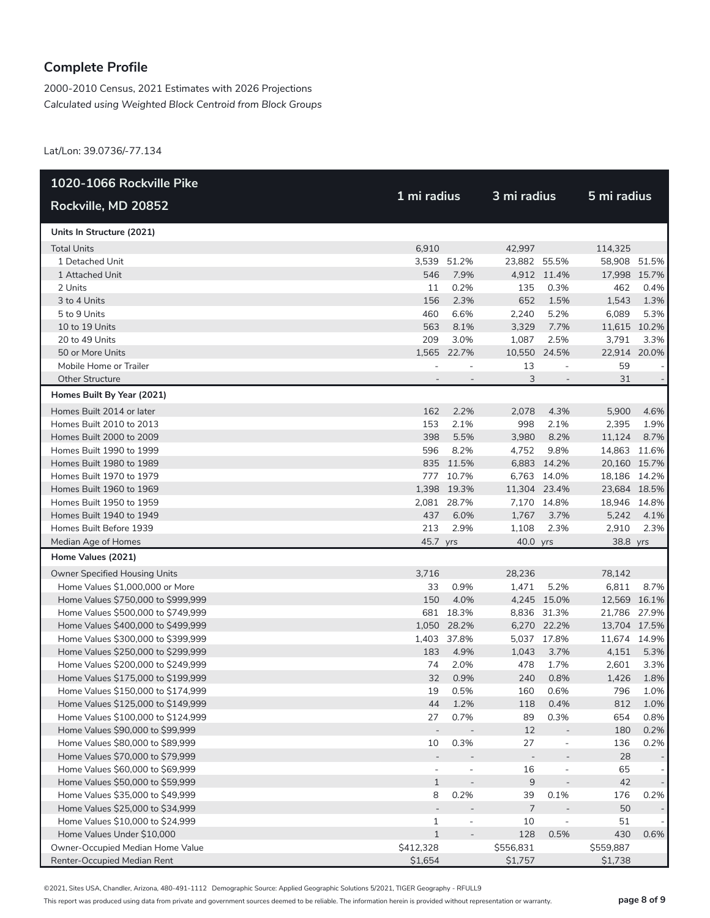2000-2010 Census, 2021 Estimates with 2026 Projections *Calculated using Weighted Block Centroid from Block Groups*

Lat/Lon: 39.0736/-77.134

| 1020-1066 Rockville Pike           |                |                          |                |                          |              |              |
|------------------------------------|----------------|--------------------------|----------------|--------------------------|--------------|--------------|
| Rockville, MD 20852                | 1 mi radius    |                          | 3 mi radius    |                          | 5 mi radius  |              |
| Units In Structure (2021)          |                |                          |                |                          |              |              |
| <b>Total Units</b>                 | 6,910          |                          | 42,997         |                          | 114,325      |              |
| 1 Detached Unit                    |                | 3,539 51.2%              | 23,882 55.5%   |                          | 58,908 51.5% |              |
| 1 Attached Unit                    | 546            | 7.9%                     |                | 4,912 11.4%              | 17,998 15.7% |              |
| 2 Units                            | 11             | 0.2%                     | 135            | 0.3%                     | 462          | 0.4%         |
| 3 to 4 Units                       | 156            | 2.3%                     | 652            | 1.5%                     | 1,543        | 1.3%         |
| 5 to 9 Units                       | 460            | 6.6%                     | 2,240          | 5.2%                     | 6,089        | 5.3%         |
| 10 to 19 Units                     | 563            | 8.1%                     | 3,329          | 7.7%                     |              | 11,615 10.2% |
| 20 to 49 Units                     | 209            | 3.0%                     | 1,087          | 2.5%                     | 3,791        | 3.3%         |
| 50 or More Units                   |                | 1,565 22.7%              | 10,550         | 24.5%                    |              | 22,914 20.0% |
| Mobile Home or Trailer             |                |                          | 13             | $\overline{\phantom{a}}$ | 59           |              |
| <b>Other Structure</b>             |                |                          | 3              | $\overline{\phantom{a}}$ | 31           |              |
| Homes Built By Year (2021)         |                |                          |                |                          |              |              |
| Homes Built 2014 or later          | 162            | 2.2%                     | 2,078          | 4.3%                     | 5,900        | 4.6%         |
| Homes Built 2010 to 2013           | 153            | 2.1%                     | 998            | 2.1%                     | 2,395        | 1.9%         |
| Homes Built 2000 to 2009           | 398            | 5.5%                     | 3,980          | 8.2%                     | 11,124       | 8.7%         |
| Homes Built 1990 to 1999           | 596            | 8.2%                     | 4,752          | 9.8%                     | 14,863 11.6% |              |
| Homes Built 1980 to 1989           |                | 835 11.5%                |                | 6,883 14.2%              | 20,160 15.7% |              |
| Homes Built 1970 to 1979           |                | 777 10.7%                |                | 6,763 14.0%              | 18,186 14.2% |              |
| Homes Built 1960 to 1969           |                | 1,398 19.3%              | 11,304 23.4%   |                          | 23,684 18.5% |              |
| Homes Built 1950 to 1959           |                | 2,081 28.7%              |                | 7,170 14.8%              | 18,946 14.8% |              |
| Homes Built 1940 to 1949           | 437            | 6.0%                     | 1,767          | 3.7%                     | 5,242        | 4.1%         |
| Homes Built Before 1939            | 213            | 2.9%                     | 1,108          | 2.3%                     | 2,910        | 2.3%         |
| Median Age of Homes                | 45.7 yrs       |                          | 40.0 yrs       |                          | 38.8 yrs     |              |
| Home Values (2021)                 |                |                          |                |                          |              |              |
| Owner Specified Housing Units      | 3,716          |                          | 28,236         |                          | 78,142       |              |
| Home Values \$1,000,000 or More    | 33             | 0.9%                     | 1,471          | 5.2%                     | 6,811        | 8.7%         |
| Home Values \$750,000 to \$999,999 | 150            | 4.0%                     |                | 4,245 15.0%              | 12,569 16.1% |              |
| Home Values \$500,000 to \$749,999 |                | 681 18.3%                |                | 8,836 31.3%              | 21,786 27.9% |              |
| Home Values \$400,000 to \$499,999 | 1,050          | 28.2%                    |                | 6,270 22.2%              | 13,704 17.5% |              |
| Home Values \$300,000 to \$399,999 |                | 1,403 37.8%              |                | 5,037 17.8%              | 11,674 14.9% |              |
| Home Values \$250,000 to \$299,999 | 183            | 4.9%                     | 1,043          | 3.7%                     | 4,151        | 5.3%         |
| Home Values \$200,000 to \$249,999 | 74             | 2.0%                     | 478            | 1.7%                     | 2,601        | 3.3%         |
| Home Values \$175,000 to \$199,999 | 32             | 0.9%                     | 240            | 0.8%                     | 1,426        | 1.8%         |
| Home Values \$150,000 to \$174,999 | 19             | 0.5%                     | 160            | 0.6%                     | 796          | 1.0%         |
| Home Values \$125,000 to \$149,999 | 44             | 1.2%                     | 118            | 0.4%                     | 812          | 1.0%         |
| Home Values \$100,000 to \$124,999 | 27             | 0.7%                     | 89             | 0.3%                     | 654          | 0.8%         |
| Home Values \$90,000 to \$99,999   | $\overline{a}$ |                          | 12             |                          | 180          | 0.2%         |
| Home Values \$80,000 to \$89,999   | 10             | 0.3%                     | 27             | $\overline{\phantom{a}}$ | 136          | 0.2%         |
| Home Values \$70,000 to \$79,999   |                |                          |                |                          | 28           |              |
| Home Values \$60,000 to \$69,999   |                | $\overline{\phantom{a}}$ | 16             | $\overline{\phantom{a}}$ | 65           |              |
| Home Values \$50,000 to \$59,999   | $\mathbf{1}$   | $\overline{a}$           | $9\,$          | $\overline{\phantom{a}}$ | 42           |              |
| Home Values \$35,000 to \$49,999   | 8              | 0.2%                     | 39             | 0.1%                     | 176          | 0.2%         |
| Home Values \$25,000 to \$34,999   |                |                          | $\overline{7}$ |                          | 50           |              |
| Home Values \$10,000 to \$24,999   | $\mathbf{1}$   | $\overline{\phantom{0}}$ | 10             | $\overline{a}$           | 51           |              |
| Home Values Under \$10,000         | $\mathbf{1}$   |                          | 128            | 0.5%                     | 430          | 0.6%         |
| Owner-Occupied Median Home Value   | \$412,328      |                          | \$556,831      |                          | \$559,887    |              |
| Renter-Occupied Median Rent        | \$1,654        |                          | \$1,757        |                          | \$1,738      |              |

©2021, Sites USA, Chandler, Arizona, 480-491-1112 Demographic Source: Applied Geographic Solutions 5/2021, TIGER Geography - RFULL9

This report was produced using data from private and government sources deemed to be reliable. The information herein is provided without representation or warranty. **page 8 of 9**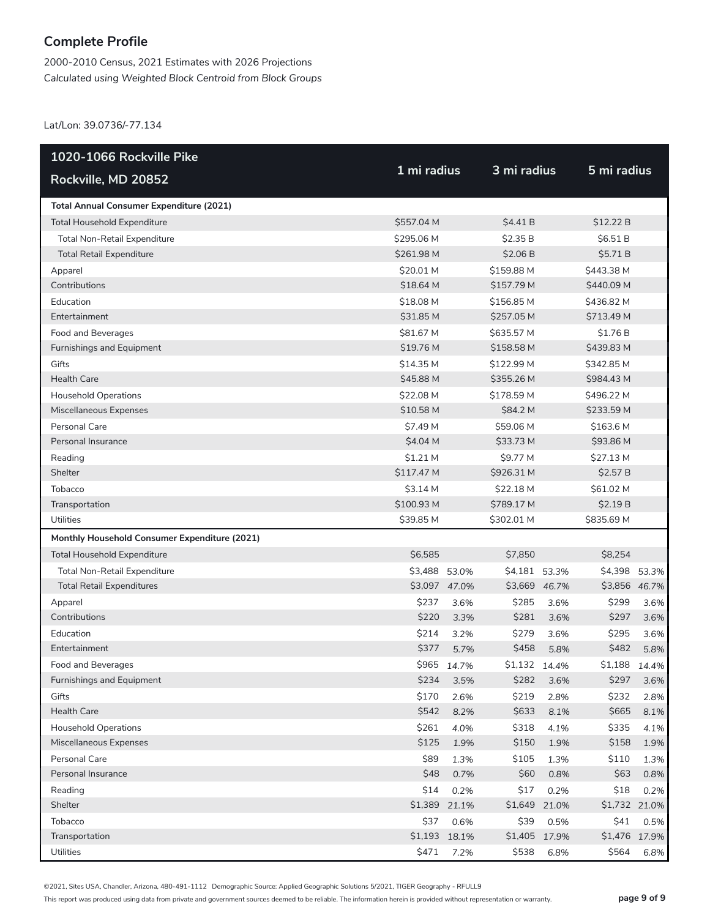2000-2010 Census, 2021 Estimates with 2026 Projections *Calculated using Weighted Block Centroid from Block Groups*

Lat/Lon: 39.0736/-77.134

| 1020-1066 Rockville Pike                      |               |               |               |       |               |       |
|-----------------------------------------------|---------------|---------------|---------------|-------|---------------|-------|
| Rockville, MD 20852                           | 1 mi radius   |               | 3 mi radius   |       | 5 mi radius   |       |
| Total Annual Consumer Expenditure (2021)      |               |               |               |       |               |       |
| <b>Total Household Expenditure</b>            | \$557.04 M    |               | \$4.41 B      |       | \$12.22 B     |       |
| Total Non-Retail Expenditure                  | \$295.06 M    |               | \$2.35 B      |       | \$6.51B       |       |
| <b>Total Retail Expenditure</b>               | \$261.98 M    |               | \$2.06 B      |       | \$5.71 B      |       |
| Apparel                                       | \$20.01 M     |               | \$159.88 M    |       | \$443.38 M    |       |
| Contributions                                 | \$18.64 M     |               | \$157.79 M    |       | \$440.09 M    |       |
| Education                                     | \$18.08 M     |               | \$156.85 M    |       | \$436.82 M    |       |
| Entertainment                                 | \$31.85 M     |               | \$257.05 M    |       | \$713.49 M    |       |
| Food and Beverages                            | \$81.67 M     |               | \$635.57 M    |       | \$1.76 B      |       |
| Furnishings and Equipment                     | \$19.76 M     |               | \$158.58 M    |       | \$439.83 M    |       |
| Gifts                                         | \$14.35 M     |               | \$122.99 M    |       | \$342.85 M    |       |
| <b>Health Care</b>                            | \$45.88 M     |               | \$355.26 M    |       | \$984.43 M    |       |
| <b>Household Operations</b>                   | \$22.08 M     |               | \$178.59 M    |       | \$496.22 M    |       |
| Miscellaneous Expenses                        | \$10.58 M     |               | \$84.2 M      |       | \$233.59 M    |       |
| Personal Care                                 | \$7.49 M      |               | \$59.06 M     |       | \$163.6 M     |       |
| Personal Insurance                            | \$4.04 M      |               | \$33.73 M     |       | \$93.86 M     |       |
| Reading                                       | \$1.21 M      |               | \$9.77 M      |       | \$27.13 M     |       |
| Shelter                                       | \$117.47 M    |               | \$926.31 M    |       | \$2.57 B      |       |
| Tobacco                                       | \$3.14 M      |               | \$22.18 M     |       | \$61.02 M     |       |
| Transportation                                | \$100.93 M    |               | \$789.17 M    |       | \$2.19 B      |       |
| Utilities                                     | \$39.85 M     |               | \$302.01 M    |       | \$835.69 M    |       |
| Monthly Household Consumer Expenditure (2021) |               |               |               |       |               |       |
| <b>Total Household Expenditure</b>            | \$6,585       |               | \$7,850       |       | \$8,254       |       |
| Total Non-Retail Expenditure                  | \$3,488 53.0% |               | \$4,181 53.3% |       | \$4,398       | 53.3% |
| <b>Total Retail Expenditures</b>              |               | \$3,097 47.0% | \$3,669 46.7% |       | \$3,856 46.7% |       |
| Apparel                                       | \$237         | 3.6%          | \$285         | 3.6%  | \$299         | 3.6%  |
| Contributions                                 | \$220         | 3.3%          | \$281         | 3.6%  | \$297         | 3.6%  |
| Education                                     | \$214         | 3.2%          | \$279         | 3.6%  | \$295         | 3.6%  |
| Entertainment                                 | \$377         | 5.7%          | \$458         | 5.8%  | \$482         | 5.8%  |
| Food and Beverages                            |               | \$965 14.7%   | \$1,132 14.4% |       | \$1.188       | 14.4% |
| Furnishings and Equipment                     | \$234         | 3.5%          | \$282         | 3.6%  | \$297         | 3.6%  |
| Gifts                                         | \$170         | 2.6%          | \$219         | 2.8%  | \$232         | 2.8%  |
| <b>Health Care</b>                            | \$542         | 8.2%          | \$633         | 8.1%  | \$665         | 8.1%  |
| <b>Household Operations</b>                   | \$261         | 4.0%          | \$318         | 4.1%  | \$335         | 4.1%  |
| Miscellaneous Expenses                        | \$125         | 1.9%          | \$150         | 1.9%  | \$158         | 1.9%  |
| Personal Care                                 | \$89          | 1.3%          | \$105         | 1.3%  | \$110         | 1.3%  |
| Personal Insurance                            | \$48          | 0.7%          | \$60          | 0.8%  | \$63          | 0.8%  |
| Reading                                       | \$14          | 0.2%          | \$17          | 0.2%  | \$18          | 0.2%  |
| Shelter                                       | \$1,389       | 21.1%         | \$1,649       | 21.0% | \$1,732 21.0% |       |
| Tobacco                                       | \$37          | 0.6%          | \$39          | 0.5%  | \$41          | 0.5%  |
| Transportation                                |               | \$1,193 18.1% | \$1,405       | 17.9% | \$1,476 17.9% |       |
| Utilities                                     | \$471         | 7.2%          | \$538         | 6.8%  | \$564         | 6.8%  |

©2021, Sites USA, Chandler, Arizona, 480-491-1112 Demographic Source: Applied Geographic Solutions 5/2021, TIGER Geography - RFULL9

This report was produced using data from private and government sources deemed to be reliable. The information herein is provided without representation or warranty. **page 9 of 9**